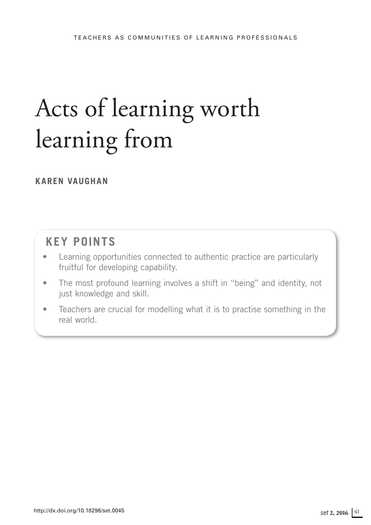# Acts of learning worth learning from

# **KAREN VAUGHAN**

# **KEY POINTS**

- Learning opportunities connected to authentic practice are particularly fruitful for developing capability.
- The most profound learning involves a shift in "being" and identity, not just knowledge and skill.
- Teachers are crucial for modelling what it is to practise something in the real world.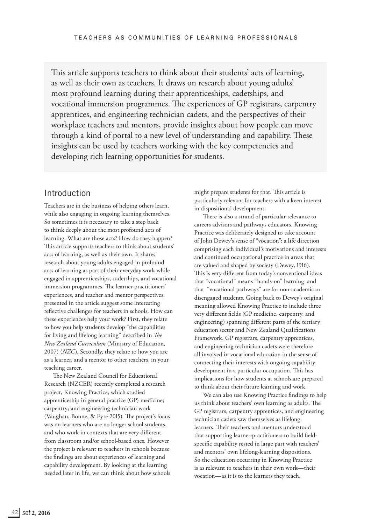This article supports teachers to think about their students' acts of learning, as well as their own as teachers. It draws on research about young adults' most profound learning during their apprenticeships, cadetships, and vocational immersion programmes. The experiences of GP registrars, carpentry apprentices, and engineering technician cadets, and the perspectives of their workplace teachers and mentors, provide insights about how people can move through a kind of portal to a new level of understanding and capability. These insights can be used by teachers working with the key competencies and developing rich learning opportunities for students.

#### Introduction

Teachers are in the business of helping others learn, while also engaging in ongoing learning themselves. So sometimes it is necessary to take a step back to think deeply about the most profound acts of learning. What are those acts? How do they happen? This article supports teachers to think about students' acts of learning, as well as their own. It shares research about young adults engaged in profound acts of learning as part of their everyday work while engaged in apprenticeships, cadetships, and vocational immersion programmes. The learner-practitioners' experiences, and teacher and mentor perspectives, presented in the article suggest some interesting reflective challenges for teachers in schools. How can these experiences help your work? First, they relate to how you help students develop "the capabilities for living and lifelong learning" described in *The New Zealand Curriculum* (Ministry of Education, 2007) (*NZC*). Secondly, they relate to how you are as a learner, and a mentor to other teachers, in your teaching career.

The New Zealand Council for Educational Research (NZCER) recently completed a research project, Knowing Practice, which studied apprenticeship in general practice (GP) medicine; carpentry; and engineering technician work (Vaughan, Bonne, & Eyre 2015). The project's focus was on learners who are no longer school students, and who work in contexts that are very different from classroom and/or school-based ones. However the project is relevant to teachers in schools because the findings are about experiences of learning and capability development. By looking at the learning needed later in life, we can think about how schools

might prepare students for that. This article is particularly relevant for teachers with a keen interest in dispositional development.

There is also a strand of particular relevance to careers advisors and pathways educators. Knowing Practice was deliberately designed to take account of John Dewey's sense of "vocation": a life direction comprising each individual's motivations and interests and continued occupational practice in areas that are valued and shaped by society (Dewey, 1916). This is very different from today's conventional ideas that "vocational" means "hands-on" learning and that "vocational pathways" are for non-academic or disengaged students. Going back to Dewey's original meaning allowed Knowing Practice to include three very different fields (GP medicine, carpentry, and engineering) spanning different parts of the tertiary education sector and New Zealand Qualifications Framework. GP registrars, carpentry apprentices, and engineering technician cadets were therefore all involved in vocational education in the sense of connecting their interests with ongoing capability development in a particular occupation. This has implications for how students at schools are prepared to think about their future learning and work.

We can also use Knowing Practice findings to help us think about teachers' own learning as adults. The GP registrars, carpentry apprentices, and engineering technician cadets saw themselves as lifelong learners. Their teachers and mentors understood that supporting learner-practitioners to build fieldspecific capability rested in large part with teachers' and mentors' own lifelong-learning dispositions. So the education occurring in Knowing Practice is as relevant to teachers in their own work—their vocation—as it is to the learners they teach.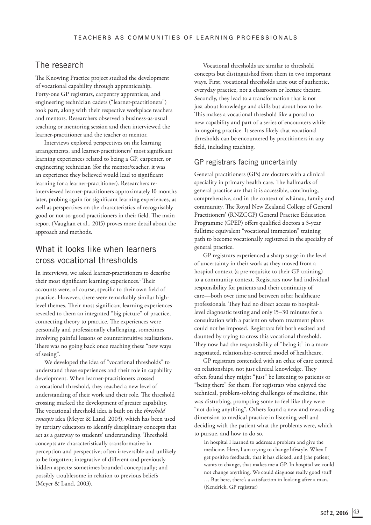# The research

The Knowing Practice project studied the development of vocational capability through apprenticeship. Forty-one GP registrars, carpentry apprentices, and engineering technician cadets ("learner-practitioners") took part, along with their respective workplace teachers and mentors. Researchers observed a business-as-usual teaching or mentoring session and then interviewed the learner-practitioner and the teacher or mentor.

Interviews explored perspectives on the learning arrangements, and learner-practitioners' most significant learning experiences related to being a GP, carpenter, or engineering technician (for the mentor/teacher, it was an experience they believed would lead to significant learning for a learner-practitioner). Researchers reinterviewed learner-practitioners approximately 10 months later, probing again for significant learning experiences, as well as perspectives on the characteristics of recognisably good or not-so-good practitioners in their field. The main report (Vaughan et al., 2015) proves more detail about the approach and methods.

# What it looks like when learners cross vocational thresholds

In interviews, we asked learner-practitioners to describe their most significant learning experiences.<sup>1</sup> Their accounts were, of course, specific to their own field of practice. However, there were remarkably similar highlevel themes. Their most significant learning experiences revealed to them an integrated "big picture" of practice, connecting theory to practice. The experiences were personally and professionally challenging, sometimes involving painful lessons or counterintuitive realisations. There was no going back once reaching these "new ways of seeing".

We developed the idea of "vocational thresholds" to understand these experiences and their role in capability development. When learner-practitioners crossed a vocational threshold, they reached a new level of understanding of their work and their role. The threshold crossing marked the development of greater capability. The vocational threshold idea is built on the *threshold concepts* idea (Meyer & Land, 2003), which has been used by tertiary educators to identify disciplinary concepts that act as a gateway to students' understanding. Threshold concepts are characteristically transformative in perception and perspective; often irreversible and unlikely to be forgotten; integrative of different and previously hidden aspects; sometimes bounded conceptually; and possibly troublesome in relation to previous beliefs (Meyer & Land, 2003).

Vocational thresholds are similar to threshold concepts but distinguished from them in two important ways. First, vocational thresholds arise out of authentic, everyday practice, not a classroom or lecture theatre. Secondly, they lead to a transformation that is not just about knowledge and skills but about how to be. This makes a vocational threshold like a portal to new capability and part of a series of encounters while in ongoing practice. It seems likely that vocational thresholds can be encountered by practitioners in any field, including teaching.

#### GP registrars facing uncertainty

General practitioners (GPs) are doctors with a clinical speciality in primary health care. The hallmarks of general practice are that it is accessible, continuing, comprehensive, and in the context of whānau, family and community. The Royal New Zealand College of General Practitioners' (RNZCGP) General Practice Education Programme (GPEP) offers qualified doctors a 3-year fulltime equivalent "vocational immersion" training path to become vocationally registered in the specialty of general practice.

GP registrars experienced a sharp surge in the level of uncertainty in their work as they moved from a hospital context (a pre-requisite to their GP training) to a community context. Registrars now had individual responsibility for patients and their continuity of care—both over time and between other healthcare professionals. They had no direct access to hospitallevel diagnostic testing and only 15–30 minutes for a consultation with a patient on whom treatment plans could not be imposed. Registrars felt both excited and daunted by trying to cross this vocational threshold. They now had the responsibility of "being it" in a more negotiated, relationship-centred model of healthcare.

GP registrars contended with an ethic of care centred on relationships, not just clinical knowledge. They often found they might "just" be listening to patients or "being there" for them. For registrars who enjoyed the technical, problem-solving challenges of medicine, this was disturbing, prompting some to feel like they were "not doing anything". Others found a new and rewarding dimension to medical practice in listening well and deciding with the patient what the problems were, which to pursue, and how to do so.

In hospital I learned to address a problem and give the medicine. Here, I am trying to change lifestyle. When I get positive feedback, that it has clicked, and [the patient] wants to change, that makes me a GP. In hospital we could not change anything. We could diagnose really good stuff … But here, there's a satisfaction in looking after a man. (Kendrick, GP registrar)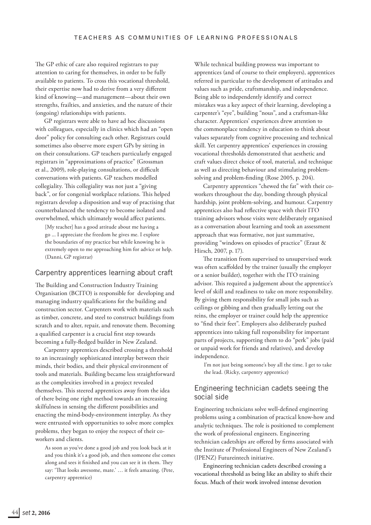The GP ethic of care also required registrars to pay attention to caring for themselves, in order to be fully available to patients. To cross this vocational threshold, their expertise now had to derive from a very different kind of knowing—and management—about their own strengths, frailties, and anxieties, and the nature of their (ongoing) relationships with patients.

GP registrars were able to have ad hoc discussions with colleagues, especially in clinics which had an "open door" policy for consulting each other. Registrars could sometimes also observe more expert GPs by sitting in on their consultations. GP teachers particularly engaged registrars in "approximations of practice" (Grossman et al., 2009), role-playing consultations, or difficult conversations with patients. GP teachers modelled collegiality. This collegiality was not just a "giving back", or for congenial workplace relations. This helped registrars develop a disposition and way of practising that counterbalanced the tendency to become isolated and overwhelmed, which ultimately would affect patients.

[My teacher] has a good attitude about me having a go ... I appreciate the freedom he gives me. I explore the boundaries of my practice but while knowing he is extremely open to me approaching him for advice or help. (Danni, GP registrar)

#### Carpentry apprentices learning about craft

The Building and Construction Industry Training Organisation (BCITO) is responsible for developing and managing industry qualifications for the building and construction sector. Carpenters work with materials such as timber, concrete, and steel to construct buildings from scratch and to alter, repair, and renovate them. Becoming a qualified carpenter is a crucial first step towards becoming a fully-fledged builder in New Zealand.

Carpentry apprentices described crossing a threshold to an increasingly sophisticated interplay between their minds, their bodies, and their physical environment of tools and materials. Building became less straightforward as the complexities involved in a project revealed themselves. This steered apprentices away from the idea of there being one right method towards an increasing skilfulness in sensing the different possibilities and enacting the mind-body-environment interplay. As they were entrusted with opportunities to solve more complex problems, they began to enjoy the respect of their coworkers and clients.

As soon as you've done a good job and you look back at it and you think it's a good job, and then someone else comes along and sees it finished and you can see it in them. They say: 'That looks awesome, mate.' … it feels amazing. (Pete, carpentry apprentice)

While technical building prowess was important to apprentices (and of course to their employers), apprentices referred in particular to the development of attitudes and values such as pride, craftsmanship, and independence. Being able to independently identify and correct mistakes was a key aspect of their learning, developing a carpenter's "eye", building "nous", and a craftsman-like character. Apprentices' experiences drew attention to the commonplace tendency in education to think about values separately from cognitive processing and technical skill. Yet carpentry apprentices' experiences in crossing vocational thresholds demonstrated that aesthetic and craft values direct choice of tool, material, and technique as well as directing behaviour and stimulating problemsolving and problem-finding (Rose 2005, p. 204).

Carpentry apprentices "chewed the fat" with their coworkers throughout the day, bonding through physical hardship, joint problem-solving, and humour. Carpentry apprentices also had reflective space with their ITO training advisors whose visits were deliberately organised as a conversation about learning and took an assessment approach that was formative, not just summative, providing "windows on episodes of practice" (Eraut & Hirsch, 2007, p. 17).

The transition from supervised to unsupervised work was often scaffolded by the trainer (usually the employer or a senior builder), together with the ITO training advisor. This required a judgement about the apprentice's level of skill and readiness to take on more responsibility. By giving them responsibility for small jobs such as ceilings or gibbing and then gradually letting out the reins, the employer or trainer could help the apprentice to "find their feet". Employers also deliberately pushed apprentices into taking full responsibility for important parts of projects, supporting them to do "perk" jobs (paid or unpaid work for friends and relatives), and develop independence.

I'm not just being someone's boy all the time. I get to take the lead. (Ricky, carpentry apprentice)

#### Engineering technician cadets seeing the social side

Engineering technicians solve well-defined engineering problems using a combination of practical know-how and analytic techniques. The role is positioned to complement the work of professional engineers. Engineering technician cadetships are offered by firms associated with the Institute of Professional Engineers of New Zealand's (IPENZ) Futureintech initiative.

Engineering technician cadets described crossing a vocational threshold as being like an ability to shift their focus. Much of their work involved intense devotion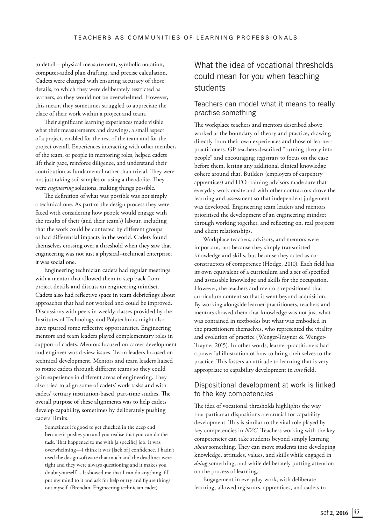to detail—physical measurement, symbolic notation, computer-aided plan drafting, and precise calculation. Cadets were charged with ensuring accuracy of those details, to which they were deliberately restricted as learners, so they would not be overwhelmed. However, this meant they sometimes struggled to appreciate the place of their work within a project and team.

Their significant learning experiences made visible what their measurements and drawings, a small aspect of a project, enabled for the rest of the team and for the project overall. Experiences interacting with other members of the team, or people in mentoring roles, helped cadets lift their gaze, reinforce diligence, and understand their contribution as fundamental rather than trivial. They were not just taking soil samples or using a theodolite. They were *engineering* solutions, making things possible.

The definition of what was possible was not simply a technical one. As part of the design process they were faced with considering how people would engage with the results of their (and their team's) labour, including that the work could be contested by different groups or had differential impacts in the world. Cadets found themselves crossing over a threshold when they saw that engineering was not just a physical–technical enterprise; it was social one.

Engineering technician cadets had regular meetings with a mentor that allowed them to step back from project details and discuss an engineering mindset. Cadets also had reflective space in team debriefings about approaches that had not worked and could be improved. Discussions with peers in weekly classes provided by the Institutes of Technology and Polytechnics might also have spurred some reflective opportunities. Engineering mentors and team leaders played complementary roles in support of cadets. Mentors focused on career development and engineer world-view issues. Team leaders focused on technical development. Mentors and team leaders liaised to rotate cadets through different teams so they could gain experience in different areas of engineering. They also tried to align some of cadets' work tasks and with cadets' tertiary institution-based, part-time studies. The overall purpose of these alignments was to help cadets develop capability, sometimes by deliberately pushing cadets' limits.

Sometimes it's good to get chucked in the deep end because it pushes you and you realise that you can do the task. That happened to me with [a specific] job. It was overwhelming—I think it was [lack of] confidence. I hadn't used the design software that much and the deadlines were tight and they were always questioning and it makes you doubt yourself ... It showed me that I can do anything if I put my mind to it and ask for help or try and figure things out myself. (Brendan, Engineering technician cadet)

# What the idea of vocational thresholds could mean for you when teaching students

#### Teachers can model what it means to really practise something

The workplace teachers and mentors described above worked at the boundary of theory and practice, drawing directly from their own experiences and those of learnerpractitioners. GP teachers described "turning theory into people" and encouraging registrars to focus on the case before them, letting any additional clinical knowledge cohere around that. Builders (employers of carpentry apprentices) and ITO training advisors made sure that everyday work onsite and with other contractors drove the learning and assessment so that independent judgement was developed. Engineering team leaders and mentors prioritised the development of an engineering mindset through working together, and reflecting on, real projects and client relationships.

Workplace teachers, advisors, and mentors were important, not because they simply transmitted knowledge and skills, but because they acted as coconstructors of competence (Hodge, 2010). Each field has its own equivalent of a curriculum and a set of specified and assessable knowledge and skills for the occupation. However, the teachers and mentors repositioned that curriculum content so that it went beyond acquisition. By working alongside learner-practitioners, teachers and mentors showed them that knowledge was not just what was contained in textbooks but what was embodied in the practitioners themselves, who represented the vitality and evolution of practice (Wenger-Trayner & Wenger-Trayner 2015). In other words, learner-practitioners had a powerful illustration of how to bring their selves to the practice. This fosters an attitude to learning that is very appropriate to capability development in *any* field.

#### Dispositional development at work is linked to the key competencies

The idea of vocational thresholds highlights the way that particular dispositions are crucial for capability development. This is similar to the vital role played by key competencies in *NZC*. Teachers working with the key competencies can take students beyond simply learning *about* something. They can move students into developing knowledge, attitudes, values, and skills while engaged in *doing* something, and while deliberately putting attention on the process of learning.

Engagement in everyday work, with deliberate learning, allowed registrars, apprentices, and cadets to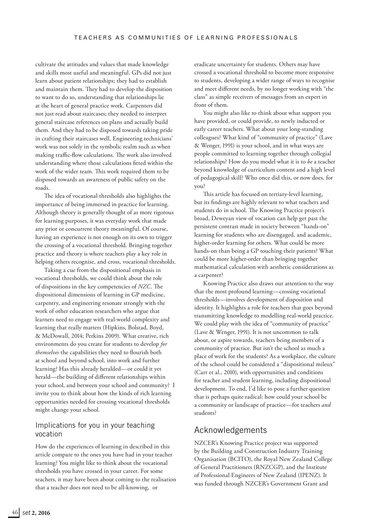cultivate the attitudes and values that made knowledge and skills most useful and meaningful. GPs did not just learn about patient relationships; they had to establish and maintain them. They had to develop the disposition to want to do so, understanding that relationships lie at the heart of general practice work. Carpenters did not just read about staircases; they needed to interpret general staircase references on plans and actually build them. And they had to be disposed towards taking pride in crafting their staircases well. Engineering technicians' work was not solely in the symbolic realm such as when making traffic-flow calculations. The work also involved understanding where those calculations fitted within the work of the wider team. This work required them to be disposed towards an awareness of public safety on the roads.

The idea of vocational thresholds also highlights the importance of being immersed in practice for learning. Although theory is generally thought of as more rigorous for learning purposes, it was everyday work that made any prior or concurrent theory meaningful. Of course, having an experience is not enough on its own to trigger the crossing of a vocational threshold. Bringing together practice and theory is where teachers play a key role in helping others recognise, and cross, vocational thresholds.

Taking a cue from the dispositional emphasis in vocational thresholds, we could think about the role of dispositions in the key competencies of *NZC*. The dispositional dimensions of learning in GP medicine, carpentry, and engineering resonate strongly with the work of other education researchers who argue that learners need to engage with real-world complexity and learning that really matters (Hipkins, Bolstad, Boyd, & McDowall, 2014; Perkins 2009). What creative, rich environments do you create for students to develop *for themselves* the capabilities they need to flourish both at school and beyond school, into work and further learning? Has this already heralded—or could it yet herald—the building of different relationships within your school, and between your school and community? I invite you to think about how the kinds of rich learning opportunities needed for crossing vocational thresholds might change your school.

#### Implications for you in your teaching vocation

How do the experiences of learning in described in this article compare to the ones you have had in your teacher learning? You might like to think about the vocational thresholds you have crossed in your career. For some teachers, it may have been about coming to the realisation that a teacher does not need to be all-knowing, or

eradicate uncertainty for students. Others may have crossed a vocational threshold to become more responsive to students, developing a wider range of ways to recognise and meet different needs, by no longer working with "the class" as simple receivers of messages from an expert in front of them.

You might also like to think about what support you have provided, or could provide, to newly inducted or early career teachers. What about your long-standing colleagues? What kind of "community of practice" (Lave & Wenger, 1991) is your school, and in what ways are people committed to learning together through collegial relationships? How do you model what it is to *be* a teacher beyond knowledge of curriculum content and a high level of pedagogical skill? Who once did this, or now does, for you?

This article has focused on tertiary-level learning, but its findings are highly relevant to what teachers and students do in school. The Knowing Practice project's broad, Deweyan view of vocation can help get past the persistent contrast made in society between "hands-on" learning for students who are disengaged, and academic, higher-order learning for others. What could be more hands-on than being a GP touching their patients? What could be more higher-order than bringing together mathematical calculation with aesthetic considerations as a carpenter?

Knowing Practice also draws our attention to the way that the most profound learning—crossing vocational thresholds—involves development of disposition and identity. It highlights a role for teachers that goes beyond transmitting knowledge to modelling real-world practice. We could play with the idea of "community of practice" (Lave & Wenger, 1991). It is not uncommon to talk about, or aspire towards, teachers being members of a community of practice. But isn't the school as much a place of work for the students? As a workplace, the culture of the school could be considered a "dispositional mileux" (Carr et al., 2010), with opportunities and conditions for teacher and student learning, including dispositional development. To end, I'd like to pose a further question that is perhaps quite radical: how could your school be a community or landscape of practice—for teachers *and*  students?

### Acknowledgements

NZCER's Knowing Practice project was supported by the Building and Construction Industry Training Organisation (BCITO), the Royal New Zealand College of General Practitioners (RNZCGP), and the Institute of Professional Engineers of New Zealand (IPENZ). It was funded through NZCER's Government Grant and